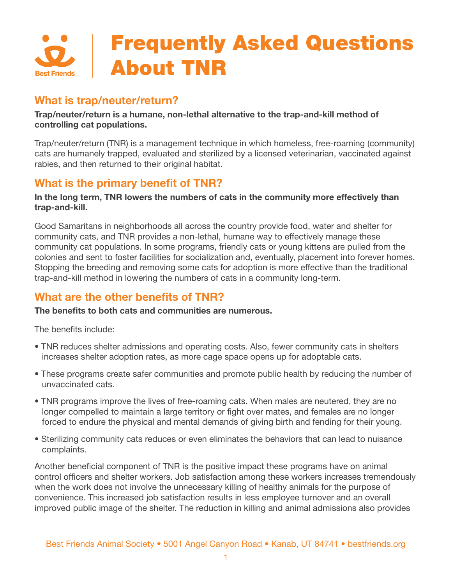

# **What is trap/neuter/return?**

#### **Trap/neuter/return is a humane, non-lethal alternative to the trap-and-kill method of controlling cat populations.**

Trap/neuter/return (TNR) is a management technique in which homeless, free-roaming (community) cats are humanely trapped, evaluated and sterilized by a licensed veterinarian, vaccinated against rabies, and then returned to their original habitat.

# **What is the primary benefit of TNR?**

#### **In the long term, TNR lowers the numbers of cats in the community more effectively than trap-and-kill.**

Good Samaritans in neighborhoods all across the country provide food, water and shelter for community cats, and TNR provides a non-lethal, humane way to effectively manage these community cat populations. In some programs, friendly cats or young kittens are pulled from the colonies and sent to foster facilities for socialization and, eventually, placement into forever homes. Stopping the breeding and removing some cats for adoption is more effective than the traditional trap-and-kill method in lowering the numbers of cats in a community long-term.

# **What are the other benefits of TNR?**

#### **The benefits to both cats and communities are numerous.**

The benefits include:

- TNR reduces shelter admissions and operating costs. Also, fewer community cats in shelters increases shelter adoption rates, as more cage space opens up for adoptable cats.
- These programs create safer communities and promote public health by reducing the number of unvaccinated cats.
- TNR programs improve the lives of free-roaming cats. When males are neutered, they are no longer compelled to maintain a large territory or fight over mates, and females are no longer forced to endure the physical and mental demands of giving birth and fending for their young.
- Sterilizing community cats reduces or even eliminates the behaviors that can lead to nuisance complaints.

Another beneficial component of TNR is the positive impact these programs have on animal control officers and shelter workers. Job satisfaction among these workers increases tremendously when the work does not involve the unnecessary killing of healthy animals for the purpose of convenience. This increased job satisfaction results in less employee turnover and an overall improved public image of the shelter. The reduction in killing and animal admissions also provides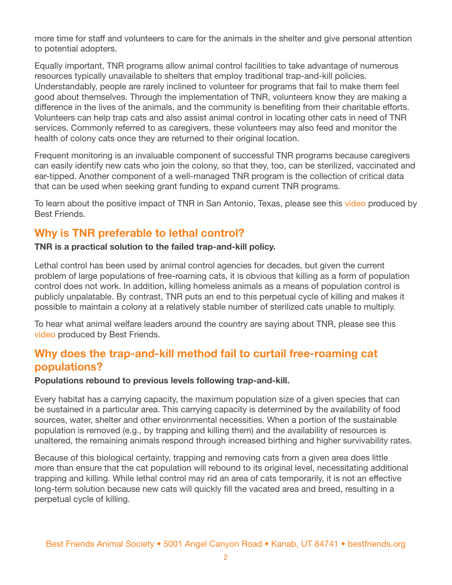more time for staff and volunteers to care for the animals in the shelter and give personal attention to potential adopters.

Equally important, TNR programs allow animal control facilities to take advantage of numerous resources typically unavailable to shelters that employ traditional trap-and-kill policies. Understandably, people are rarely inclined to volunteer for programs that fail to make them feel good about themselves. Through the implementation of TNR, volunteers know they are making a difference in the lives of the animals, and the community is benefiting from their charitable efforts. Volunteers can help trap cats and also assist animal control in locating other cats in need of TNR services. Commonly referred to as caregivers, these volunteers may also feed and monitor the health of colony cats once they are returned to their original location.

Frequent monitoring is an invaluable component of successful TNR programs because caregivers can easily identify new cats who join the colony, so that they, too, can be sterilized, vaccinated and ear-tipped. Another component of a well-managed TNR program is the collection of critical data that can be used when seeking grant funding to expand current TNR programs.

To learn about the positive impact of TNR in San Antonio, Texas, please see this [video](http://www.youtube.com/watch?v=Z2Km0IqwZNQ) produced by Best Friends.

## **Why is TNR preferable to lethal control?**

**TNR is a practical solution to the failed trap-and-kill policy.** 

Lethal control has been used by animal control agencies for decades, but given the current problem of large populations of free-roaming cats, it is obvious that killing as a form of population control does not work. In addition, killing homeless animals as a means of population control is publicly unpalatable. By contrast, TNR puts an end to this perpetual cycle of killing and makes it possible to maintain a colony at a relatively stable number of sterilized cats unable to multiply.

To hear what animal welfare leaders around the country are saying about TNR, please see this [video](http://www.youtube.com/watch?v=nWcCHf3Fmy4) produced by Best Friends.

## **Why does the trap-and-kill method fail to curtail free-roaming cat populations?**

**Populations rebound to previous levels following trap-and-kill.** 

Every habitat has a carrying capacity, the maximum population size of a given species that can be sustained in a particular area. This carrying capacity is determined by the availability of food sources, water, shelter and other environmental necessities. When a portion of the sustainable population is removed (e.g., by trapping and killing them) and the availability of resources is unaltered, the remaining animals respond through increased birthing and higher survivability rates.

Because of this biological certainty, trapping and removing cats from a given area does little more than ensure that the cat population will rebound to its original level, necessitating additional trapping and killing. While lethal control may rid an area of cats temporarily, it is not an effective long-term solution because new cats will quickly fill the vacated area and breed, resulting in a perpetual cycle of killing.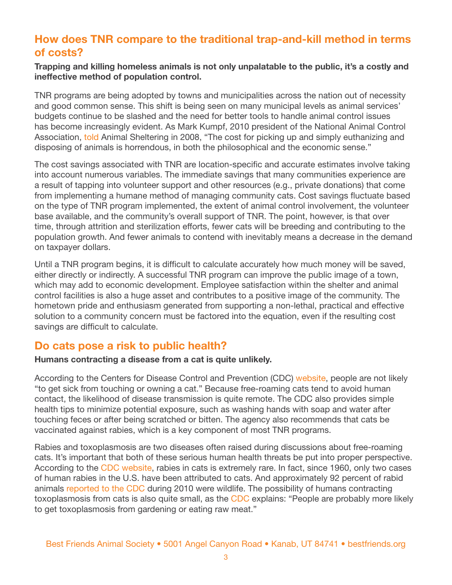# **How does TNR compare to the traditional trap-and-kill method in terms of costs?**

#### **Trapping and killing homeless animals is not only unpalatable to the public, it's a costly and ineffective method of population control.**

TNR programs are being adopted by towns and municipalities across the nation out of necessity and good common sense. This shift is being seen on many municipal levels as animal services' budgets continue to be slashed and the need for better tools to handle animal control issues has become increasingly evident. As Mark Kumpf, 2010 president of the National Animal Control Association, [told](http://www.animalsheltering.org/resources/magazine/sep_oct_2008/taking_a_broader_view_of_cats.html) Animal Sheltering in 2008, "The cost for picking up and simply euthanizing and disposing of animals is horrendous, in both the philosophical and the economic sense."

The cost savings associated with TNR are location-specific and accurate estimates involve taking into account numerous variables. The immediate savings that many communities experience are a result of tapping into volunteer support and other resources (e.g., private donations) that come from implementing a humane method of managing community cats. Cost savings fluctuate based on the type of TNR program implemented, the extent of animal control involvement, the volunteer base available, and the community's overall support of TNR. The point, however, is that over time, through attrition and sterilization efforts, fewer cats will be breeding and contributing to the population growth. And fewer animals to contend with inevitably means a decrease in the demand on taxpayer dollars.

Until a TNR program begins, it is difficult to calculate accurately how much money will be saved, either directly or indirectly. A successful TNR program can improve the public image of a town, which may add to economic development. Employee satisfaction within the shelter and animal control facilities is also a huge asset and contributes to a positive image of the community. The hometown pride and enthusiasm generated from supporting a non-lethal, practical and effective solution to a community concern must be factored into the equation, even if the resulting cost savings are difficult to calculate.

## **Do cats pose a risk to public health?**

#### **Humans contracting a disease from a cat is quite unlikely.**

According to the Centers for Disease Control and Prevention (CDC) [website](http://www.cdc.gov/healthypets/animals/cats.htm), people are not likely "to get sick from touching or owning a cat." Because free-roaming cats tend to avoid human contact, the likelihood of disease transmission is quite remote. The CDC also provides simple health tips to minimize potential exposure, such as washing hands with soap and water after touching feces or after being scratched or bitten. The agency also recommends that cats be vaccinated against rabies, which is a key component of most TNR programs.

Rabies and toxoplasmosis are two diseases often raised during discussions about free-roaming cats. It's important that both of these serious human health threats be put into proper perspective. According to the [CDC website,](http://www.cdc.gov/rabies/location/usa/surveillance/domestic_animals.html) rabies in cats is extremely rare. In fact, since 1960, only two cases of human rabies in the U.S. have been attributed to cats. And approximately 92 percent of rabid animals [reported to the CDC](http://www.ncbi.nlm.nih.gov/pubmed/21916759) during 2010 were wildlife. The possibility of humans contracting toxoplasmosis from cats is also quite small, as the [CDC](http://www.cdc.gov/healthypets/animals/cats.htm) explains: "People are probably more likely to get toxoplasmosis from gardening or eating raw meat."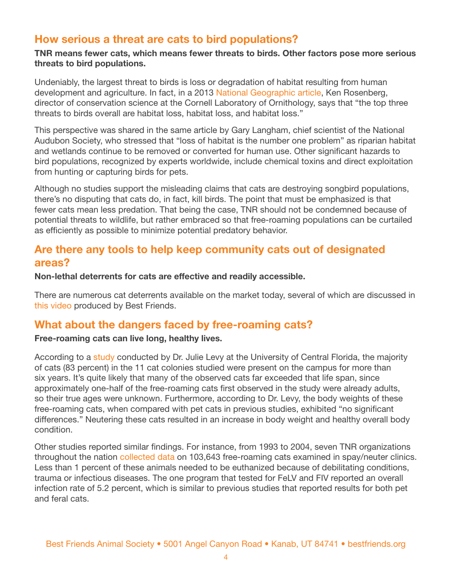## **How serious a threat are cats to bird populations?**

#### **TNR means fewer cats, which means fewer threats to birds. Other factors pose more serious threats to bird populations.**

Undeniably, the largest threat to birds is loss or degradation of habitat resulting from human development and agriculture. In fact, in a 2013 [National Geographic article](http://news.nationalgeographic.com/news/2013/06/130621-threats-against-birds-cats-wind-turbines-climate-change-habitat-loss-science-united-states/), Ken Rosenberg, director of conservation science at the Cornell Laboratory of Ornithology, says that "the top three threats to birds overall are habitat loss, habitat loss, and habitat loss."

This perspective was shared in the same article by Gary Langham, chief scientist of the National Audubon Society, who stressed that "loss of habitat is the number one problem" as riparian habitat and wetlands continue to be removed or converted for human use. Other significant hazards to bird populations, recognized by experts worldwide, include chemical toxins and direct exploitation from hunting or capturing birds for pets.

Although no studies support the misleading claims that cats are destroying songbird populations, there's no disputing that cats do, in fact, kill birds. The point that must be emphasized is that fewer cats mean less predation. That being the case, TNR should not be condemned because of potential threats to wildlife, but rather embraced so that free-roaming populations can be curtailed as efficiently as possible to minimize potential predatory behavior.

## **Are there any tools to help keep community cats out of designated areas?**

#### **Non-lethal deterrents for cats are effective and readily accessible.**

There are numerous cat deterrents available on the market today, several of which are discussed in [this video](http://www.youtube.com/watch?v=5nnOibg6nYc) produced by Best Friends.

## **What about the dangers faced by free-roaming cats?**

#### **Free-roaming cats can live long, healthy lives.**

According to a [study](http://avmajournals.avma.org/doi/abs/10.2460/javma.2003.222.42) conducted by Dr. Julie Levy at the University of Central Florida, the majority of cats (83 percent) in the 11 cat colonies studied were present on the campus for more than six years. It's quite likely that many of the observed cats far exceeded that life span, since approximately one-half of the free-roaming cats first observed in the study were already adults, so their true ages were unknown. Furthermore, according to Dr. Levy, the body weights of these free-roaming cats, when compared with pet cats in previous studies, exhibited "no significant differences." Neutering these cats resulted in an increase in body weight and healthy overall body condition.

Other studies reported similar findings. For instance, from 1993 to 2004, seven TNR organizations throughout the nation [collected data](http://www.ncbi.nlm.nih.gov/pubmed/16603400) on 103,643 free-roaming cats examined in spay/neuter clinics. Less than 1 percent of these animals needed to be euthanized because of debilitating conditions, trauma or infectious diseases. The one program that tested for FeLV and FIV reported an overall infection rate of 5.2 percent, which is similar to previous studies that reported results for both pet and feral cats.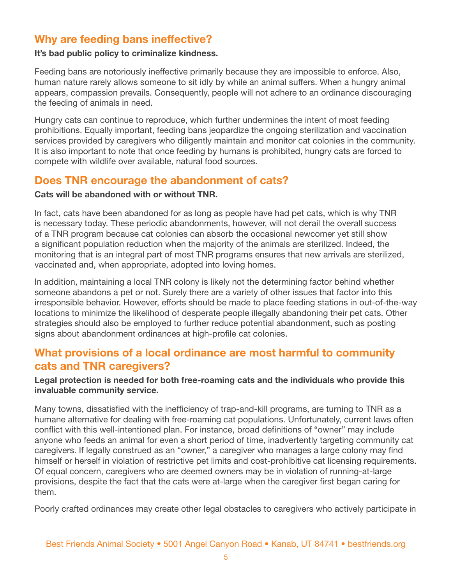# **Why are feeding bans ineffective?**

#### **It's bad public policy to criminalize kindness.**

Feeding bans are notoriously ineffective primarily because they are impossible to enforce. Also, human nature rarely allows someone to sit idly by while an animal suffers. When a hungry animal appears, compassion prevails. Consequently, people will not adhere to an ordinance discouraging the feeding of animals in need.

Hungry cats can continue to reproduce, which further undermines the intent of most feeding prohibitions. Equally important, feeding bans jeopardize the ongoing sterilization and vaccination services provided by caregivers who diligently maintain and monitor cat colonies in the community. It is also important to note that once feeding by humans is prohibited, hungry cats are forced to compete with wildlife over available, natural food sources.

## **Does TNR encourage the abandonment of cats?**

#### **Cats will be abandoned with or without TNR.**

In fact, cats have been abandoned for as long as people have had pet cats, which is why TNR is necessary today. These periodic abandonments, however, will not derail the overall success of a TNR program because cat colonies can absorb the occasional newcomer yet still show a significant population reduction when the majority of the animals are sterilized. Indeed, the monitoring that is an integral part of most TNR programs ensures that new arrivals are sterilized, vaccinated and, when appropriate, adopted into loving homes.

In addition, maintaining a local TNR colony is likely not the determining factor behind whether someone abandons a pet or not. Surely there are a variety of other issues that factor into this irresponsible behavior. However, efforts should be made to place feeding stations in out-of-the-way locations to minimize the likelihood of desperate people illegally abandoning their pet cats. Other strategies should also be employed to further reduce potential abandonment, such as posting signs about abandonment ordinances at high-profile cat colonies.

## **What provisions of a local ordinance are most harmful to community cats and TNR caregivers?**

#### **Legal protection is needed for both free-roaming cats and the individuals who provide this invaluable community service.**

Many towns, dissatisfied with the inefficiency of trap-and-kill programs, are turning to TNR as a humane alternative for dealing with free-roaming cat populations. Unfortunately, current laws often conflict with this well-intentioned plan. For instance, broad definitions of "owner" may include anyone who feeds an animal for even a short period of time, inadvertently targeting community cat caregivers. If legally construed as an "owner," a caregiver who manages a large colony may find himself or herself in violation of restrictive pet limits and cost-prohibitive cat licensing requirements. Of equal concern, caregivers who are deemed owners may be in violation of running-at-large provisions, despite the fact that the cats were at-large when the caregiver first began caring for them.

Poorly crafted ordinances may create other legal obstacles to caregivers who actively participate in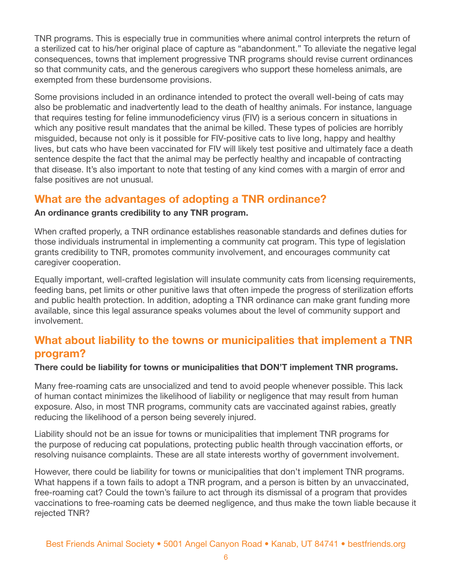TNR programs. This is especially true in communities where animal control interprets the return of a sterilized cat to his/her original place of capture as "abandonment." To alleviate the negative legal consequences, towns that implement progressive TNR programs should revise current ordinances so that community cats, and the generous caregivers who support these homeless animals, are exempted from these burdensome provisions.

Some provisions included in an ordinance intended to protect the overall well-being of cats may also be problematic and inadvertently lead to the death of healthy animals. For instance, language that requires testing for feline immunodeficiency virus (FIV) is a serious concern in situations in which any positive result mandates that the animal be killed. These types of policies are horribly misguided, because not only is it possible for FIV-positive cats to live long, happy and healthy lives, but cats who have been vaccinated for FIV will likely test positive and ultimately face a death sentence despite the fact that the animal may be perfectly healthy and incapable of contracting that disease. It's also important to note that testing of any kind comes with a margin of error and false positives are not unusual.

# **What are the advantages of adopting a TNR ordinance?**

#### **An ordinance grants credibility to any TNR program.**

When crafted properly, a TNR ordinance establishes reasonable standards and defines duties for those individuals instrumental in implementing a community cat program. This type of legislation grants credibility to TNR, promotes community involvement, and encourages community cat caregiver cooperation.

Equally important, well-crafted legislation will insulate community cats from licensing requirements, feeding bans, pet limits or other punitive laws that often impede the progress of sterilization efforts and public health protection. In addition, adopting a TNR ordinance can make grant funding more available, since this legal assurance speaks volumes about the level of community support and involvement.

# **What about liability to the towns or municipalities that implement a TNR program?**

#### **There could be liability for towns or municipalities that DON'T implement TNR programs.**

Many free-roaming cats are unsocialized and tend to avoid people whenever possible. This lack of human contact minimizes the likelihood of liability or negligence that may result from human exposure. Also, in most TNR programs, community cats are vaccinated against rabies, greatly reducing the likelihood of a person being severely injured.

Liability should not be an issue for towns or municipalities that implement TNR programs for the purpose of reducing cat populations, protecting public health through vaccination efforts, or resolving nuisance complaints. These are all state interests worthy of government involvement.

However, there could be liability for towns or municipalities that don't implement TNR programs. What happens if a town fails to adopt a TNR program, and a person is bitten by an unvaccinated, free-roaming cat? Could the town's failure to act through its dismissal of a program that provides vaccinations to free-roaming cats be deemed negligence, and thus make the town liable because it rejected TNR?